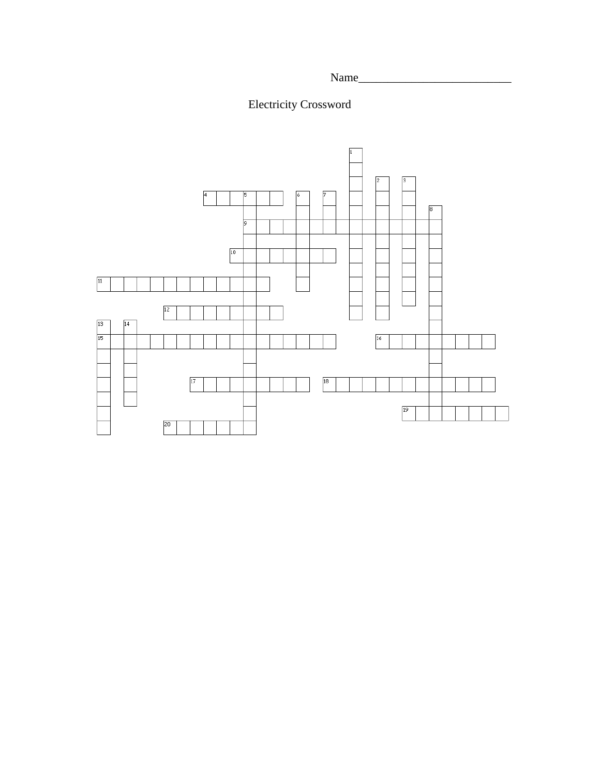Name\_\_\_\_\_\_\_\_\_\_\_\_\_\_\_\_\_\_\_\_\_\_\_\_\_\_